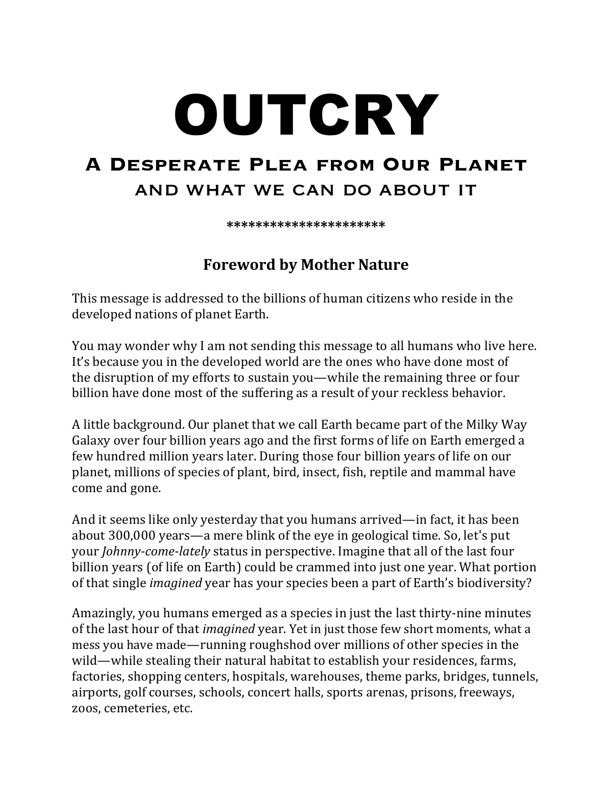## OUTCRY

## **A Desperate Plea from Our Planet** and what we can do about it

**\*\*\*\*\*\*\*\*\*\*\*\*\*\*\*\*\*\*\*\*\*\***

## **Foreword by Mother Nature**

This message is addressed to the billions of human citizens who reside in the developed nations of planet Earth.

You may wonder why I am not sending this message to all humans who live here. It's because you in the developed world are the ones who have done most of the disruption of my efforts to sustain you—while the remaining three or four billion have done most of the suffering as a result of your reckless behavior.

A little background. Our planet that we call Earth became part of the Milky Way Galaxy over four billion years ago and the first forms of life on Earth emerged a few hundred million years later. During those four billion years of life on our planet, millions of species of plant, bird, insect, fish, reptile and mammal have come and gone.

And it seems like only yesterday that you humans arrived—in fact, it has been about  $300,000$  years—a mere blink of the eye in geological time. So, let's put your *Johnny-come-lately* status in perspective. Imagine that all of the last four billion years (of life on Earth) could be crammed into just one year. What portion of that single *imagined* year has your species been a part of Earth's biodiversity?

Amazingly, you humans emerged as a species in just the last thirty-nine minutes of the last hour of that *imagined* year. Yet in just those few short moments, what a mess you have made—running roughshod over millions of other species in the wild—while stealing their natural habitat to establish your residences, farms, factories, shopping centers, hospitals, warehouses, theme parks, bridges, tunnels, airports, golf courses, schools, concert halls, sports arenas, prisons, freeways, zoos, cemeteries, etc.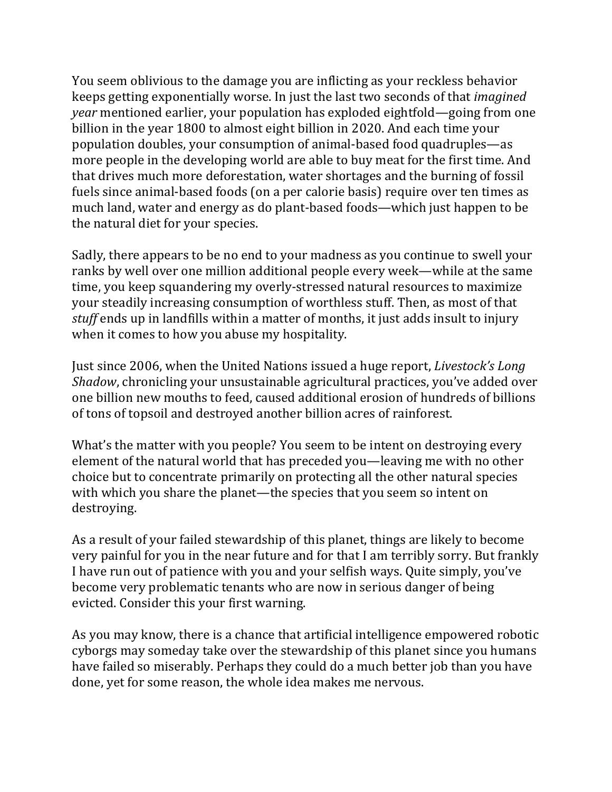You seem oblivious to the damage you are inflicting as your reckless behavior keeps getting exponentially worse. In just the last two seconds of that *imagined year* mentioned earlier, your population has exploded eightfold—going from one billion in the year 1800 to almost eight billion in 2020. And each time your population doubles, your consumption of animal-based food quadruples—as more people in the developing world are able to buy meat for the first time. And that drives much more deforestation, water shortages and the burning of fossil fuels since animal-based foods (on a per calorie basis) require over ten times as much land, water and energy as do plant-based foods—which just happen to be the natural diet for your species.

Sadly, there appears to be no end to your madness as you continue to swell your ranks by well over one million additional people every week—while at the same time, you keep squandering my overly-stressed natural resources to maximize your steadily increasing consumption of worthless stuff. Then, as most of that *stuff* ends up in landfills within a matter of months, it just adds insult to injury when it comes to how you abuse my hospitality.

Just since 2006, when the United Nations issued a huge report, *Livestock's Long Shadow*, chronicling your unsustainable agricultural practices, you've added over one billion new mouths to feed, caused additional erosion of hundreds of billions of tons of topsoil and destroyed another billion acres of rainforest.

What's the matter with you people? You seem to be intent on destroying every element of the natural world that has preceded you—leaving me with no other choice but to concentrate primarily on protecting all the other natural species with which you share the planet—the species that you seem so intent on destroying. 

As a result of your failed stewardship of this planet, things are likely to become very painful for you in the near future and for that I am terribly sorry. But frankly I have run out of patience with you and your selfish ways. Quite simply, you've become very problematic tenants who are now in serious danger of being evicted. Consider this your first warning.

As you may know, there is a chance that artificial intelligence empowered robotic cyborgs may someday take over the stewardship of this planet since you humans have failed so miserably. Perhaps they could do a much better job than you have done, yet for some reason, the whole idea makes me nervous.